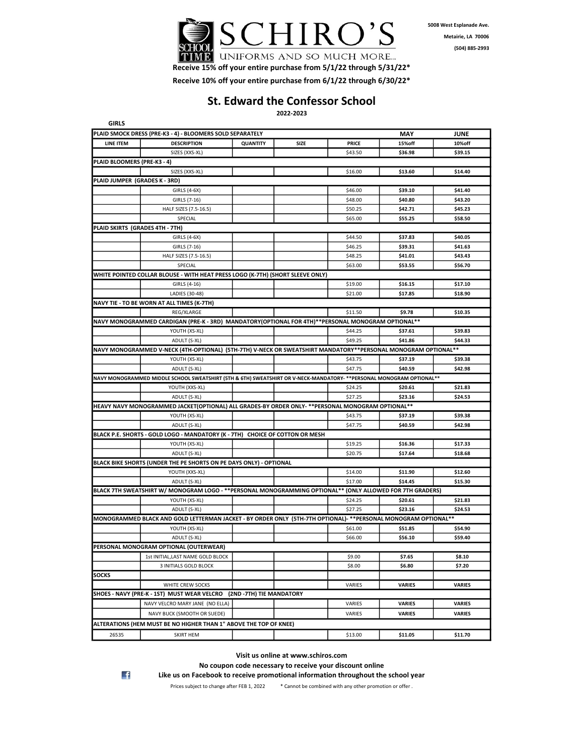

(504) 885-2993 5008 West Esplanade Ave. Metairie, LA 70006

Receive 15% off your entire purchase from 5/1/22 through 5/31/22\* Receive 10% off your entire purchase from 6/1/22 through 6/30/22\*

## St. Edward the Confessor School

2022-2023

| <b>GIRLS</b>                    |                                                                                                                      |                 |             |              |               |               |
|---------------------------------|----------------------------------------------------------------------------------------------------------------------|-----------------|-------------|--------------|---------------|---------------|
|                                 | PLAID SMOCK DRESS (PRE-K3 - 4) - BLOOMERS SOLD SEPARATELY                                                            |                 |             |              | MAY           | <b>JUNE</b>   |
| <b>LINE ITEM</b>                | <b>DESCRIPTION</b>                                                                                                   | <b>QUANTITY</b> | <b>SIZE</b> | <b>PRICE</b> | 15%off        | 10%off        |
|                                 | SIZES (XXS-XL)                                                                                                       |                 |             | \$43.50      | \$36.98       | \$39.15       |
| PLAID BLOOMERS (PRE-K3 - 4)     |                                                                                                                      |                 |             |              |               |               |
|                                 | SIZES (XXS-XL)                                                                                                       |                 |             | \$16.00      | \$13.60       | \$14.40       |
| PLAID JUMPER (GRADES K - 3RD)   |                                                                                                                      |                 |             |              |               |               |
|                                 | GIRLS (4-6X)                                                                                                         |                 |             | \$46.00      | \$39.10       | \$41.40       |
|                                 | GIRLS (7-16)                                                                                                         |                 |             | \$48.00      | \$40.80       | \$43.20       |
|                                 | HALF SIZES (7.5-16.5)                                                                                                |                 |             | \$50.25      | \$42.71       | \$45.23       |
|                                 | SPECIAL                                                                                                              |                 |             | \$65.00      | \$55.25       | \$58.50       |
| PLAID SKIRTS (GRADES 4TH - 7TH) |                                                                                                                      |                 |             |              |               |               |
|                                 | GIRLS (4-6X)                                                                                                         |                 |             | \$44.50      | \$37.83       | \$40.05       |
|                                 | GIRLS (7-16)                                                                                                         |                 |             | \$46.25      | \$39.31       | \$41.63       |
|                                 | HALF SIZES (7.5-16.5)                                                                                                |                 |             | \$48.25      | \$41.01       | \$43.43       |
|                                 | SPECIAL                                                                                                              |                 |             | \$63.00      | \$53.55       | \$56.70       |
|                                 | WHITE POINTED COLLAR BLOUSE - WITH HEAT PRESS LOGO (K-7TH) (SHORT SLEEVE ONLY)                                       |                 |             |              |               |               |
|                                 | GIRLS (4-16)                                                                                                         |                 |             | \$19.00      | \$16.15       | \$17.10       |
|                                 | LADIES (30-48)                                                                                                       |                 |             | \$21.00      | \$17.85       | \$18.90       |
|                                 | NAVY TIE - TO BE WORN AT ALL TIMES (K-7TH)                                                                           |                 |             |              |               |               |
|                                 | REG/XLARGE                                                                                                           |                 |             | \$11.50      | \$9.78        | \$10.35       |
|                                 | NAVY MONOGRAMMED CARDIGAN (PRE-K - 3RD) MANDATORY (OPTIONAL FOR 4TH)**PERSONAL MONOGRAM OPTIONAL**                   |                 |             |              |               |               |
|                                 | YOUTH (XS-XL)                                                                                                        |                 |             | \$44.25      | \$37.61       | \$39.83       |
|                                 | ADULT (S-XL)                                                                                                         |                 |             | \$49.25      | \$41.86       | \$44.33       |
|                                 | NAVY MONOGRAMMED V-NECK (4TH-OPTIONAL) (5TH-7TH) V-NECK OR SWEATSHIRT MANDATORY**PERSONAL MONOGRAM OPTIONAL**        |                 |             |              |               |               |
|                                 | YOUTH (XS-XL)                                                                                                        |                 |             | \$43.75      | \$37.19       | \$39.38       |
|                                 | ADULT (S-XL)                                                                                                         |                 |             | \$47.75      | \$40.59       | \$42.98       |
|                                 | NAVY MONOGRAMMED MIDDLE SCHOOL SWEATSHIRT (5TH & 6TH) SWEATSHIRT OR V-NECK-MANDATORY- **PERSONAL MONOGRAM OPTIONAL** |                 |             |              |               |               |
|                                 | YOUTH (XXS-XL)                                                                                                       |                 |             | \$24.25      | \$20.61       | \$21.83       |
|                                 | ADULT (S-XL)                                                                                                         |                 |             | \$27.25      | \$23.16       | \$24.53       |
|                                 | HEAVY NAVY MONOGRAMMED JACKET(OPTIONAL) ALL GRADES-BY ORDER ONLY- **PERSONAL MONOGRAM OPTIONAL**                     |                 |             |              |               |               |
|                                 | YOUTH (XS-XL)                                                                                                        |                 |             | \$43.75      | \$37.19       | \$39.38       |
|                                 | ADULT (S-XL)                                                                                                         |                 |             | \$47.75      | \$40.59       | \$42.98       |
|                                 | BLACK P.E. SHORTS - GOLD LOGO - MANDATORY (K - 7TH) CHOICE OF COTTON OR MESH                                         |                 |             |              |               |               |
|                                 | YOUTH (XS-XL)                                                                                                        |                 |             | \$19.25      | \$16.36       | \$17.33       |
|                                 | ADULT (S-XL)                                                                                                         |                 |             | \$20.75      | \$17.64       | \$18.68       |
|                                 | BLACK BIKE SHORTS (UNDER THE PE SHORTS ON PE DAYS ONLY) - OPTIONAL                                                   |                 |             |              |               |               |
|                                 | YOUTH (XXS-XL)                                                                                                       |                 |             | \$14.00      | \$11.90       | \$12.60       |
|                                 | ADULT (S-XL)                                                                                                         |                 |             | \$17.00      | \$14.45       | \$15.30       |
|                                 | BLACK 7TH SWEATSHIRT W/ MONOGRAM LOGO - **PERSONAL MONOGRAMMING OPTIONAL** (ONLY ALLOWED FOR 7TH GRADERS)            |                 |             |              |               |               |
|                                 | YOUTH (XS-XL)                                                                                                        |                 |             | \$24.25      | \$20.61       | \$21.83       |
|                                 | ADULT (S-XL)                                                                                                         |                 |             | \$27.25      | \$23.16       | \$24.53       |
|                                 | MONOGRAMMED BLACK AND GOLD LETTERMAN JACKET - BY ORDER ONLY (5TH-7TH OPTIONAL)- **PERSONAL MONOGRAM OPTIONAL**       |                 |             |              |               |               |
|                                 | YOUTH (XS-XL)                                                                                                        |                 |             | \$61.00      | \$51.85       | \$54.90       |
|                                 | ADULT (S-XL)                                                                                                         |                 |             | \$66.00      | \$56.10       | \$59.40       |
|                                 | PERSONAL MONOGRAM OPTIONAL (OUTERWEAR)                                                                               |                 |             |              |               |               |
|                                 | 1st INITIAL, LAST NAME GOLD BLOCK                                                                                    |                 |             | \$9.00       | \$7.65        | \$8.10        |
|                                 | 3 INITIALS GOLD BLOCK                                                                                                |                 |             | \$8.00       | \$6.80        | \$7.20        |
| <b>SOCKS</b>                    |                                                                                                                      |                 |             |              |               |               |
|                                 | WHITE CREW SOCKS                                                                                                     |                 |             | VARIES       | <b>VARIES</b> | <b>VARIES</b> |
|                                 | SHOES - NAVY (PRE-K - 1ST) MUST WEAR VELCRO (2ND -7TH) TIE MANDATORY                                                 |                 |             |              |               |               |
|                                 | NAVY VELCRO MARY JANE (NO ELLA)                                                                                      |                 |             | VARIES       | <b>VARIES</b> | VARIES        |
|                                 | NAVY BUCK (SMOOTH OR SUEDE)                                                                                          |                 |             | VARIES       | <b>VARIES</b> | <b>VARIES</b> |
|                                 |                                                                                                                      |                 |             |              |               |               |
|                                 | ALTERATIONS (HEM MUST BE NO HIGHER THAN 1" ABOVE THE TOP OF KNEE)                                                    |                 |             |              |               |               |
| 26535                           | <b>SKIRT HEM</b>                                                                                                     |                 |             | \$13.00      | \$11.05       | \$11.70       |

Visit us online at www.schiros.com

No coupon code necessary to receive your discount online



Like us on Facebook to receive promotional information throughout the school year

Prices subject to change after FEB 1, 2022 \* Cannot be combined with any other promotion or offer .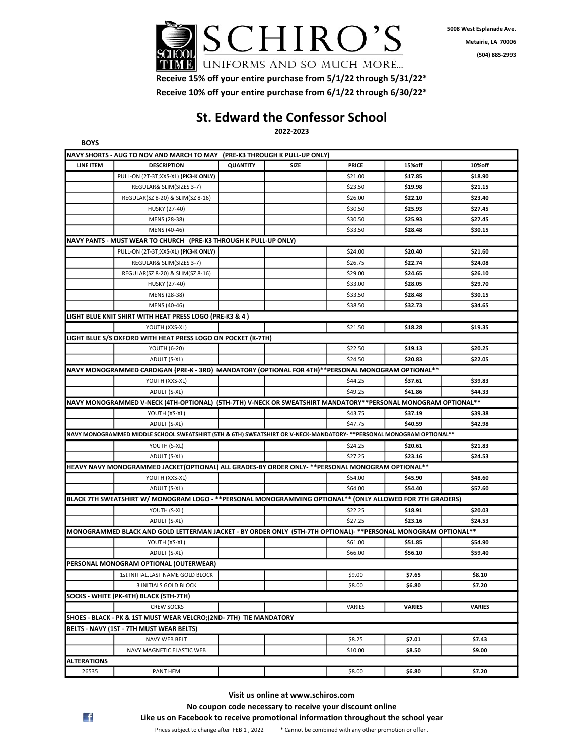

Receive 15% off your entire purchase from 5/1/22 through 5/31/22\* Receive 10% off your entire purchase from 6/1/22 through 6/30/22\*

## St. Edward the Confessor School

2022-2023

| NAVY SHORTS - AUG TO NOV AND MARCH TO MAY (PRE-K3 THROUGH K PULL-UP ONLY) |                                                                                                                      |                 |             |              |               |               |  |  |
|---------------------------------------------------------------------------|----------------------------------------------------------------------------------------------------------------------|-----------------|-------------|--------------|---------------|---------------|--|--|
| LINE ITEM                                                                 | <b>DESCRIPTION</b>                                                                                                   | <b>QUANTITY</b> | <b>SIZE</b> | <b>PRICE</b> | 15%off        | 10%off        |  |  |
|                                                                           | PULL-ON (2T-3T;XXS-XL) (PK3-K ONLY)                                                                                  |                 |             | \$21.00      | \$17.85       | \$18.90       |  |  |
|                                                                           | REGULAR& SLIM(SIZES 3-7)                                                                                             |                 |             | \$23.50      | \$19.98       | \$21.15       |  |  |
|                                                                           | REGULAR(SZ 8-20) & SLIM(SZ 8-16)                                                                                     |                 |             | \$26.00      | \$22.10       | \$23.40       |  |  |
|                                                                           | <b>HUSKY (27-40)</b>                                                                                                 |                 |             | \$30.50      | \$25.93       | \$27.45       |  |  |
|                                                                           | MENS (28-38)                                                                                                         |                 |             | \$30.50      | \$25.93       | \$27.45       |  |  |
|                                                                           | MENS (40-46)                                                                                                         |                 |             | \$33.50      | \$28.48       | \$30.15       |  |  |
|                                                                           | NAVY PANTS - MUST WEAR TO CHURCH (PRE-K3 THROUGH K PULL-UP ONLY)                                                     |                 |             |              |               |               |  |  |
|                                                                           | PULL-ON (2T-3T;XXS-XL) (PK3-K ONLY)                                                                                  |                 |             | \$24.00      | \$20.40       | \$21.60       |  |  |
|                                                                           | REGULAR& SLIM(SIZES 3-7)                                                                                             |                 |             | \$26.75      | \$22.74       | \$24.08       |  |  |
|                                                                           | REGULAR(SZ 8-20) & SLIM(SZ 8-16)                                                                                     |                 |             | \$29.00      | \$24.65       | \$26.10       |  |  |
|                                                                           | <b>HUSKY (27-40)</b>                                                                                                 |                 |             | \$33.00      | \$28.05       | \$29.70       |  |  |
|                                                                           | MENS (28-38)                                                                                                         |                 |             | \$33.50      | \$28.48       | \$30.15       |  |  |
|                                                                           | MENS (40-46)                                                                                                         |                 |             | \$38.50      | \$32.73       | \$34.65       |  |  |
|                                                                           | LIGHT BLUE KNIT SHIRT WITH HEAT PRESS LOGO (PRE-K3 & 4 )                                                             |                 |             |              |               |               |  |  |
|                                                                           | YOUTH (XXS-XL)                                                                                                       |                 |             | \$21.50      | \$18.28       | \$19.35       |  |  |
|                                                                           | LIGHT BLUE S/S OXFORD WITH HEAT PRESS LOGO ON POCKET (K-7TH)                                                         |                 |             |              |               |               |  |  |
|                                                                           | YOUTH (6-20)                                                                                                         |                 |             | \$22.50      | \$19.13       | \$20.25       |  |  |
|                                                                           | ADULT (S-XL)                                                                                                         |                 |             | \$24.50      | \$20.83       | \$22.05       |  |  |
|                                                                           | NAVY MONOGRAMMED CARDIGAN (PRE-K - 3RD) MANDATORY (OPTIONAL FOR 4TH)**PERSONAL MONOGRAM OPTIONAL**                   |                 |             |              |               |               |  |  |
|                                                                           | YOUTH (XXS-XL)                                                                                                       |                 |             | \$44.25      | \$37.61       | \$39.83       |  |  |
|                                                                           | ADULT (S-XL)                                                                                                         |                 |             | \$49.25      | \$41.86       | \$44.33       |  |  |
|                                                                           | NAVY MONOGRAMMED V-NECK (4TH-OPTIONAL) (5TH-7TH) V-NECK OR SWEATSHIRT MANDATORY**PERSONAL MONOGRAM OPTIONAL**        |                 |             |              |               |               |  |  |
|                                                                           | YOUTH (XS-XL)                                                                                                        |                 |             | \$43.75      | \$37.19       | \$39.38       |  |  |
|                                                                           | ADULT (S-XL)                                                                                                         |                 |             | \$47.75      | \$40.59       | \$42.98       |  |  |
|                                                                           | NAVY MONOGRAMMED MIDDLE SCHOOL SWEATSHIRT (5TH & 6TH) SWEATSHIRT OR V-NECK-MANDATORY- **PERSONAL MONOGRAM OPTIONAL** |                 |             |              |               |               |  |  |
|                                                                           | YOUTH (S-XL)                                                                                                         |                 |             | \$24.25      | \$20.61       | \$21.83       |  |  |
|                                                                           | ADULT (S-XL)                                                                                                         |                 |             | \$27.25      | \$23.16       | \$24.53       |  |  |
|                                                                           | HEAVY NAVY MONOGRAMMED JACKET(OPTIONAL) ALL GRADES-BY ORDER ONLY- **PERSONAL MONOGRAM OPTIONAL**                     |                 |             |              |               |               |  |  |
|                                                                           | YOUTH (XXS-XL)                                                                                                       |                 |             | \$54.00      | \$45.90       | \$48.60       |  |  |
|                                                                           | ADULT (S-XL)                                                                                                         |                 |             | \$64.00      | \$54.40       | \$57.60       |  |  |
|                                                                           | BLACK 7TH SWEATSHIRT W/ MONOGRAM LOGO - **PERSONAL MONOGRAMMING OPTIONAL** (ONLY ALLOWED FOR 7TH GRADERS)            |                 |             |              |               |               |  |  |
|                                                                           | YOUTH (S-XL)                                                                                                         |                 |             | \$22.25      | \$18.91       | \$20.03       |  |  |
|                                                                           | ADULT (S-XL)                                                                                                         |                 |             | \$27.25      | \$23.16       | \$24.53       |  |  |
|                                                                           | MONOGRAMMED BLACK AND GOLD LETTERMAN JACKET - BY ORDER ONLY (5TH-7TH OPTIONAL)- ** PERSONAL MONOGRAM OPTIONAL **     |                 |             |              |               |               |  |  |
|                                                                           | YOUTH (XS-XL)                                                                                                        |                 |             | \$61.00      | \$51.85       | \$54.90       |  |  |
|                                                                           | ADULT (S-XL)                                                                                                         |                 |             | \$66.00      | \$56.10       | \$59.40       |  |  |
|                                                                           | PERSONAL MONOGRAM OPTIONAL (OUTERWEAR)                                                                               |                 |             |              |               |               |  |  |
|                                                                           | 1st INITIAL, LAST NAME GOLD BLOCK                                                                                    |                 |             | \$9.00       | \$7.65        | \$8.10        |  |  |
|                                                                           | 3 INITIALS GOLD BLOCK                                                                                                |                 |             | \$8.00       | \$6.80        | \$7.20        |  |  |
|                                                                           | SOCKS - WHITE (PK-4TH) BLACK (5TH-7TH)                                                                               |                 |             |              |               |               |  |  |
|                                                                           | <b>CREW SOCKS</b>                                                                                                    |                 |             | VARIES       | <b>VARIES</b> | <b>VARIES</b> |  |  |
| SHOES - BLACK - PK & 1ST MUST WEAR VELCRO;(2ND- 7TH) TIE MANDATORY        |                                                                                                                      |                 |             |              |               |               |  |  |
| BELTS - NAVY (1ST - 7TH MUST WEAR BELTS)                                  |                                                                                                                      |                 |             |              |               |               |  |  |
|                                                                           | NAVY WEB BELT                                                                                                        |                 |             | \$8.25       | \$7.01        | \$7.43        |  |  |
|                                                                           | NAVY MAGNETIC ELASTIC WEB                                                                                            |                 |             | \$10.00      | \$8.50        | \$9.00        |  |  |
| <b>ALTERATIONS</b>                                                        |                                                                                                                      |                 |             |              |               |               |  |  |
| 26535                                                                     | PANT HEM                                                                                                             |                 |             | \$8.00       | \$6.80        | \$7.20        |  |  |

Visit us online at www.schiros.com

No coupon code necessary to receive your discount online

Like us on Facebook to receive promotional information throughout the school year

BOYS